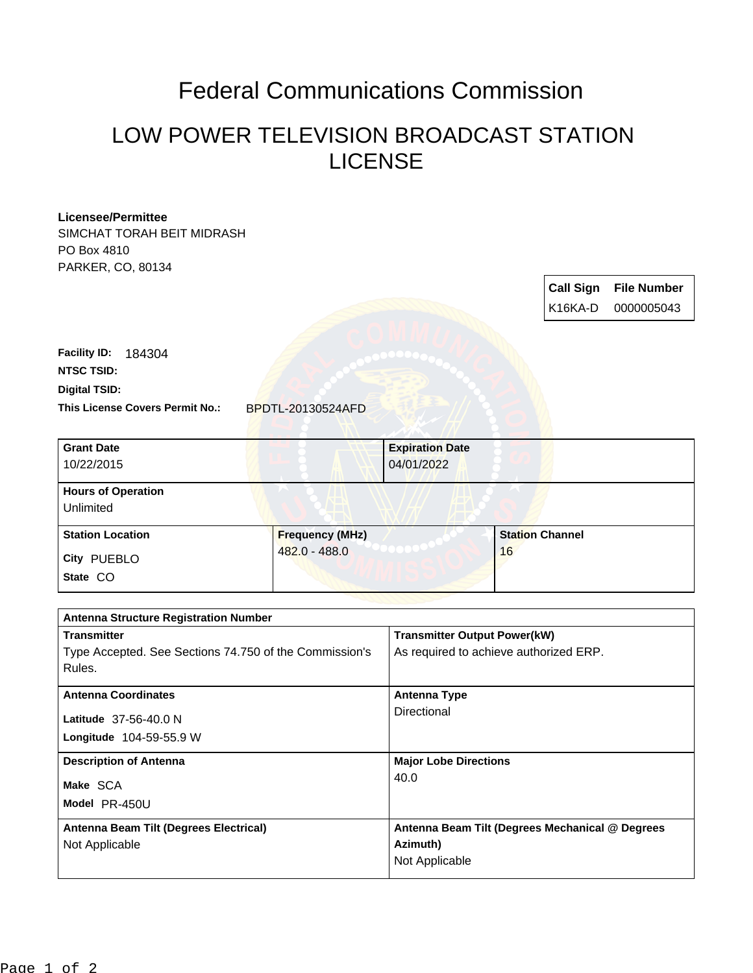## Federal Communications Commission

## LOW POWER TELEVISION BROADCAST STATION LICENSE

| <b>Licensee/Permittee</b><br>SIMCHAT TORAH BEIT MIDRASH<br>PO Box 4810<br>PARKER, CO, 80134 |                          |                                                 |    | <b>Call Sign</b><br>K16KA-D | <b>File Number</b><br>0000005043 |
|---------------------------------------------------------------------------------------------|--------------------------|-------------------------------------------------|----|-----------------------------|----------------------------------|
| <b>Facility ID:</b><br>184304<br><b>NTSC TSID:</b>                                          |                          |                                                 |    |                             |                                  |
| <b>Digital TSID:</b><br>This License Covers Permit No.:                                     | <b>BPDTL-20130524AFD</b> |                                                 |    |                             |                                  |
| <b>Grant Date</b><br>10/22/2015                                                             |                          | <b>Expiration Date</b><br>04/01/2022            |    |                             |                                  |
| <b>Hours of Operation</b><br>Unlimited                                                      |                          |                                                 |    |                             |                                  |
| <b>Station Location</b>                                                                     | <b>Frequency (MHz)</b>   |                                                 |    | <b>Station Channel</b>      |                                  |
| City PUEBLO                                                                                 | 482.0 - 488.0            |                                                 | 16 |                             |                                  |
| State CO                                                                                    |                          |                                                 |    |                             |                                  |
| <b>Antenna Structure Registration Number</b>                                                |                          |                                                 |    |                             |                                  |
| <b>Transmitter</b>                                                                          |                          | <b>Transmitter Output Power(kW)</b>             |    |                             |                                  |
| Type Accepted. See Sections 74.750 of the Commission's                                      |                          | As required to achieve authorized ERP.          |    |                             |                                  |
| Rules.                                                                                      |                          |                                                 |    |                             |                                  |
| <b>Antenna Coordinates</b>                                                                  |                          | <b>Antenna Type</b>                             |    |                             |                                  |
| Latitude 37-56-40.0 N                                                                       |                          | Directional                                     |    |                             |                                  |
| Longitude 104-59-55.9 W                                                                     |                          |                                                 |    |                             |                                  |
| <b>Description of Antenna</b>                                                               |                          | <b>Major Lobe Directions</b>                    |    |                             |                                  |
| Make SCA                                                                                    |                          | 40.0                                            |    |                             |                                  |
| Model PR-450U                                                                               |                          |                                                 |    |                             |                                  |
|                                                                                             |                          |                                                 |    |                             |                                  |
| Antenna Beam Tilt (Degrees Electrical)                                                      |                          | Antenna Beam Tilt (Degrees Mechanical @ Degrees |    |                             |                                  |
| Not Applicable                                                                              |                          | Azimuth)<br>Not Applicable                      |    |                             |                                  |